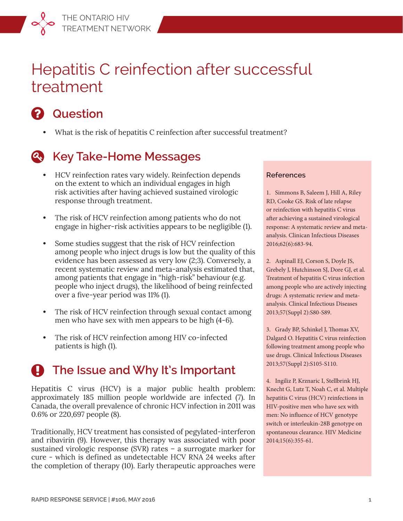# Hepatitis C reinfection after successful treatment



## **Question**

What is the risk of hepatitis C reinfection after successful treatment?



## **Key Take-Home Messages**

- **•** HCV reinfection rates vary widely. Reinfection depends on the extent to which an individual engages in high risk activities after having achieved sustained virologic response through treatment.
- **•** The risk of HCV reinfection among patients who do not engage in higher-risk activities appears to be negligible (1).
- **•** Some studies suggest that the risk of HCV reinfection among people who inject drugs is low but the quality of this evidence has been assessed as very low (2;3). Conversely, a recent systematic review and meta-analysis estimated that, among patients that engage in "high-risk" behaviour (e.g. people who inject drugs), the likelihood of being reinfected over a five-year period was 11% (1).
- **•** The risk of HCV reinfection through sexual contact among men who have sex with men appears to be high (4-6).
- **•** The risk of HCV reinfection among HIV co-infected patients is high (1).

# **The Issue and Why It's Important**

Hepatitis C virus (HCV) is a major public health problem: approximately 185 million people worldwide are infected (7). In Canada, the overall prevalence of chronic HCV infection in 2011 was 0.6% or 220,697 people (8).

Traditionally, HCV treatment has consisted of pegylated-interferon and ribavirin (9). However, this therapy was associated with poor sustained virologic response (SVR) rates – a surrogate marker for cure - which is defined as undetectable HCV RNA 24 weeks after the completion of therapy (10). Early therapeutic approaches were

### **References**

1. Simmons B, Saleem J, Hill A, Riley RD, Cooke GS. Risk of late relapse or reinfection with hepatitis C virus after achieving a sustained virological response: A systematic review and metaanalysis. Clinican Infectious Diseases 2016;62(6):683-94.

2. Aspinall EJ, Corson S, Doyle JS, Grebely J, Hutchinson SJ, Dore GJ, et al. Treatment of hepatitis C virus infection among people who are actively injecting drugs: A systematic review and metaanalysis. Clinical Infectious Diseases 2013;57(Suppl 2):S80-S89.

3. Grady BP, Schinkel J, Thomas XV, Dalgard O. Hepatitis C virus reinfection following treatment among people who use drugs. Clinical Infectious Diseases 2013;57(Suppl 2):S105-S110.

4. Ingiliz P, Krznaric I, Stellbrink HJ, Knecht G, Lutz T, Noah C, et al. Multiple hepatitis C virus (HCV) reinfections in HIV-positive men who have sex with men: No influence of HCV genotype switch or interleukin-28B genotype on spontaneous clearance. HIV Medicine 2014;15(6):355-61.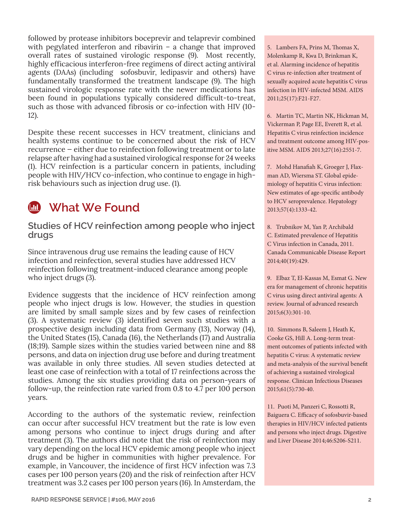followed by protease inhibitors boceprevir and telaprevir combined with pegylated interferon and ribavirin – a change that improved overall rates of sustained virologic response (9). Most recently, highly efficacious interferon-free regimens of direct acting antiviral agents (DAAs) (including sofosbuvir, ledipasvir and others) have fundamentally transformed the treatment landscape (9). The high sustained virologic response rate with the newer medications has been found in populations typically considered difficult-to-treat, such as those with advanced fibrosis or co-infection with HIV (10- 12).

Despite these recent successes in HCV treatment, clinicians and health systems continue to be concerned about the risk of HCV recurrence — either due to reinfection following treatment or to late relapse after having had a sustained virological response for 24 weeks (1). HCV reinfection is a particular concern in patients, including people with HIV/HCV co-infection, who continue to engage in highrisk behaviours such as injection drug use. (1).

## **What We Found**

**Studies of HCV reinfection among people who inject drugs**

Since intravenous drug use remains the leading cause of HCV infection and reinfection, several studies have addressed HCV reinfection following treatment-induced clearance among people who inject drugs (3).

Evidence suggests that the incidence of HCV reinfection among people who inject drugs is low. However, the studies in question are limited by small sample sizes and by few cases of reinfection (3). A systematic review (3) identified seven such studies with a prospective design including data from Germany (13), Norway (14), the United States (15), Canada (16), the Netherlands (17) and Australia (18;19). Sample sizes within the studies varied between nine and 88 persons, and data on injection drug use before and during treatment was available in only three studies. All seven studies detected at least one case of reinfection with a total of 17 reinfections across the studies. Among the six studies providing data on person-years of follow-up, the reinfection rate varied from 0.8 to 4.7 per 100 person years.

According to the authors of the systematic review, reinfection can occur after successful HCV treatment but the rate is low even among persons who continue to inject drugs during and after treatment (3). The authors did note that the risk of reinfection may vary depending on the local HCV epidemic among people who inject drugs and be higher in communities with higher prevalence. For example, in Vancouver, the incidence of first HCV infection was 7.3 cases per 100 person years (20) and the risk of reinfection after HCV treatment was 3.2 cases per 100 person years (16). In Amsterdam, the

5. Lambers FA, Prins M, Thomas X, Molenkamp R, Kwa D, Brinkman K, et al. Alarming incidence of hepatitis C virus re-infection after treatment of sexually acquired acute hepatitis C virus infection in HIV-infected MSM. AIDS 2011;25(17):F21-F27.

6. Martin TC, Martin NK, Hickman M, Vickerman P, Page EE, Everett R, et al. Hepatitis C virus reinfection incidence and treatment outcome among HIV-positive MSM. AIDS 2013;27(16):2551-7.

7. Mohd Hanafiah K, Groeger J, Flaxman AD, Wiersma ST. Global epidemiology of hepatitis C virus infection: New estimates of age-specific antibody to HCV seroprevalence. Hepatology 2013;57(4):1333-42.

8. Trubnikov M, Yan P, Archibald C. Estimated prevalence of Hepatitis C Virus infection in Canada, 2011. Canada Communicable Disease Report 2014;40(19):429.

9. Elbaz T, El-Kassas M, Esmat G. New era for management of chronic hepatitis C virus using direct antiviral agents: A review. Journal of advanced research 2015;6(3):301-10.

10. Simmons B, Saleem J, Heath K, Cooke GS, Hill A. Long-term treatment outcomes of patients infected with hepatitis C virus: A systematic review and meta-analysis of the survival benefit of achieving a sustained virological response. Clinican Infectious Diseases 2015;61(5):730-40.

11. Puoti M, Panzeri C, Rossotti R, Baiguera C. Efficacy of sofosbuvir-based therapies in HIV/HCV infected patients and persons who inject drugs. Digestive and Liver Disease 2014;46:S206-S211.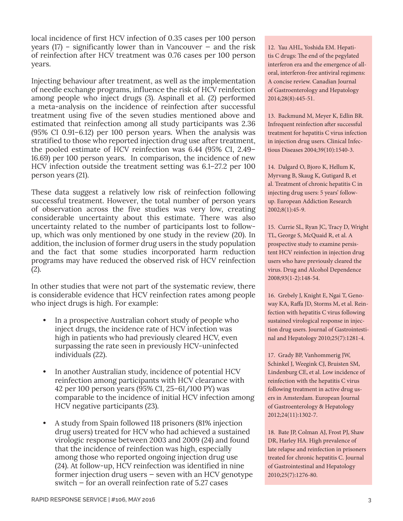local incidence of first HCV infection of 0.35 cases per 100 person years  $(17)$  – significantly lower than in Vancouver – and the risk of reinfection after HCV treatment was 0.76 cases per 100 person years.

Injecting behaviour after treatment, as well as the implementation of needle exchange programs, influence the risk of HCV reinfection among people who inject drugs (3). Aspinall et al. (2) performed a meta-analysis on the incidence of reinfection after successful treatment using five of the seven studies mentioned above and estimated that reinfection among all study participants was 2.36 (95% CI 0.91–6.12) per 100 person years. When the analysis was stratified to those who reported injection drug use after treatment, the pooled estimate of HCV reinfection was 6.44 (95% CI, 2.49– 16.69) per 100 person years. In comparison, the incidence of new HCV infection outside the treatment setting was 6.1–27.2 per 100 person years (21).

These data suggest a relatively low risk of reinfection following successful treatment. However, the total number of person years of observation across the five studies was very low, creating considerable uncertainty about this estimate. There was also uncertainty related to the number of participants lost to followup, which was only mentioned by one study in the review (20). In addition, the inclusion of former drug users in the study population and the fact that some studies incorporated harm reduction programs may have reduced the observed risk of HCV reinfection (2).

In other studies that were not part of the systematic review, there is considerable evidence that HCV reinfection rates among people who inject drugs is high. For example:

- **•** In a prospective Australian cohort study of people who inject drugs, the incidence rate of HCV infection was high in patients who had previously cleared HCV, even surpassing the rate seen in previously HCV-uninfected individuals (22).
- **•** In another Australian study, incidence of potential HCV reinfection among participants with HCV clearance with 42 per 100 person years (95% CI, 25–61/100 PY) was comparable to the incidence of initial HCV infection among HCV negative participants (23).
- **•** A study from Spain followed 118 prisoners (81% injection drug users) treated for HCV who had achieved a sustained virologic response between 2003 and 2009 (24) and found that the incidence of reinfection was high, especially among those who reported ongoing injection drug use (24). At follow-up, HCV reinfection was identified in nine former injection drug users — seven with an HCV genotype switch — for an overall reinfection rate of 5.27 cases

12. Yau AHL, Yoshida EM. Hepatitis C drugs: The end of the pegylated interferon era and the emergence of alloral, interferon-free antiviral regimens: A concise review. Canadian Journal of Gastroenterology and Hepatology 2014;28(8):445-51.

13. Backmund M, Meyer K, Edlin BR. Infrequent reinfection after successful treatment for hepatitis C virus infection in injection drug users. Clinical Infectious Diseases 2004;39(10):1540-3.

14. Dalgard O, Bjoro K, Hellum K, Myrvang B, Skaug K, Gutigard B, et al. Treatment of chronic hepatitis C in injecting drug users: 5 years' followup. European Addiction Research 2002;8(1):45-9.

15. Currie SL, Ryan JC, Tracy D, Wright TL, George S, McQuaid R, et al. A prospective study to examine persistent HCV reinfection in injection drug users who have previously cleared the virus. Drug and Alcohol Dependence 2008;93(1-2):148-54.

16. Grebely J, Knight E, Ngai T, Genoway KA, Raffa JD, Storms M, et al. Reinfection with hepatitis C virus following sustained virological response in injection drug users. Journal of Gastrointestinal and Hepatology 2010;25(7):1281-4.

17. Grady BP, Vanhommerig JW, Schinkel J, Weegink CJ, Bruisten SM, Lindenburg CE, et al. Low incidence of reinfection with the hepatitis C virus following treatment in active drug users in Amsterdam. European Journal of Gastroenterology & Hepatology 2012;24(11):1302-7.

18. Bate JP, Colman AJ, Frost PJ, Shaw DR, Harley HA. High prevalence of late relapse and reinfection in prisoners treated for chronic hepatitis C. Journal of Gastrointestinal and Hepatology 2010;25(7):1276-80.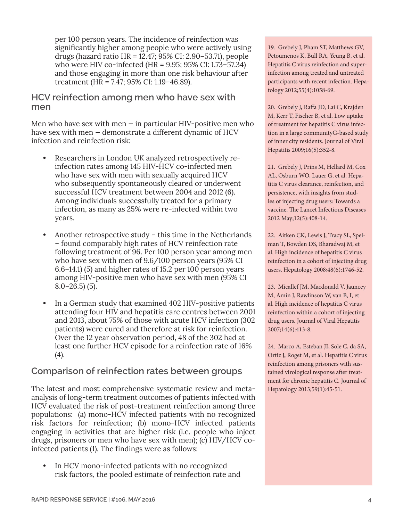per 100 person years. The incidence of reinfection was significantly higher among people who were actively using drugs (hazard ratio HR = 12.47; 95% CI: 2.90–53.71), people who were HIV co-infected (HR = 9.95; 95% CI: 1.73–57.34) and those engaging in more than one risk behaviour after treatment (HR = 7.47; 95% CI: 1.19–46.89).

**HCV reinfection among men who have sex with men**

Men who have sex with men  $-$  in particular HIV-positive men who have sex with men – demonstrate a different dynamic of HCV infection and reinfection risk:

- **•** Researchers in London UK analyzed retrospectively reinfection rates among 145 HIV-HCV co-infected men who have sex with men with sexually acquired HCV who subsequently spontaneously cleared or underwent successful HCV treatment between 2004 and 2012 (6). Among individuals successfully treated for a primary infection, as many as 25% were re-infected within two years.
- **•** Another retrospective study this time in the Netherlands – found comparably high rates of HCV reinfection rate following treatment of 96. Per 100 person year among men who have sex with men of 9.6/100 person years (95% CI 6.6–14.1) (5) and higher rates of 15.2 per 100 person years among HIV-positive men who have sex with men (95% CI 8.0–26.5) (5).
- **•** In a German study that examined 402 HIV-positive patients attending four HIV and hepatitis care centres between 2001 and 2013, about 75% of those with acute HCV infection (302 patients) were cured and therefore at risk for reinfection. Over the 12 year observation period, 48 of the 302 had at least one further HCV episode for a reinfection rate of 16% (4).

### **Comparison of reinfection rates between groups**

The latest and most comprehensive systematic review and metaanalysis of long-term treatment outcomes of patients infected with HCV evaluated the risk of post-treatment reinfection among three populations: (a) mono-HCV infected patients with no recognized risk factors for reinfection; (b) mono-HCV infected patients engaging in activities that are higher risk (i.e. people who inject drugs, prisoners or men who have sex with men); (c) HIV/HCV coinfected patients (1). The findings were as follows:

**•** In HCV mono-infected patients with no recognized risk factors, the pooled estimate of reinfection rate and

19. Grebely J, Pham ST, Matthews GV, Petoumenos K, Bull RA, Yeung B, et al. Hepatitis C virus reinfection and superinfection among treated and untreated participants with recent infection. Hepatology 2012;55(4):1058-69.

20. Grebely J, Raffa JD, Lai C, Krajden M, Kerr T, Fischer B, et al. Low uptake of treatment for hepatitis C virus infection in a large communityG-based study of inner city residents. Journal of Viral Hepatitis 2009;16(5):352-8.

21. Grebely J, Prins M, Hellard M, Cox AL, Osburn WO, Lauer G, et al. Hepatitis C virus clearance, reinfection, and persistence, with insights from studies of injecting drug users: Towards a vaccine. The Lancet Infectious Diseases 2012 May;12(5):408-14.

22. Aitken CK, Lewis J, Tracy SL, Spelman T, Bowden DS, Bharadwaj M, et al. High incidence of hepatitis C virus reinfection in a cohort of injecting drug users. Hepatology 2008;48(6):1746-52.

23. Micallef JM, Macdonald V, Jauncey M, Amin J, Rawlinson W, van B, I, et al. High incidence of hepatitis C virus reinfection within a cohort of injecting drug users. Journal of Viral Hepatitis 2007;14(6):413-8.

24. Marco A, Esteban JI, Sole C, da SA, Ortiz J, Roget M, et al. Hepatitis C virus reinfection among prisoners with sustained virological response after treatment for chronic hepatitis C. Journal of Hepatology 2013;59(1):45-51.